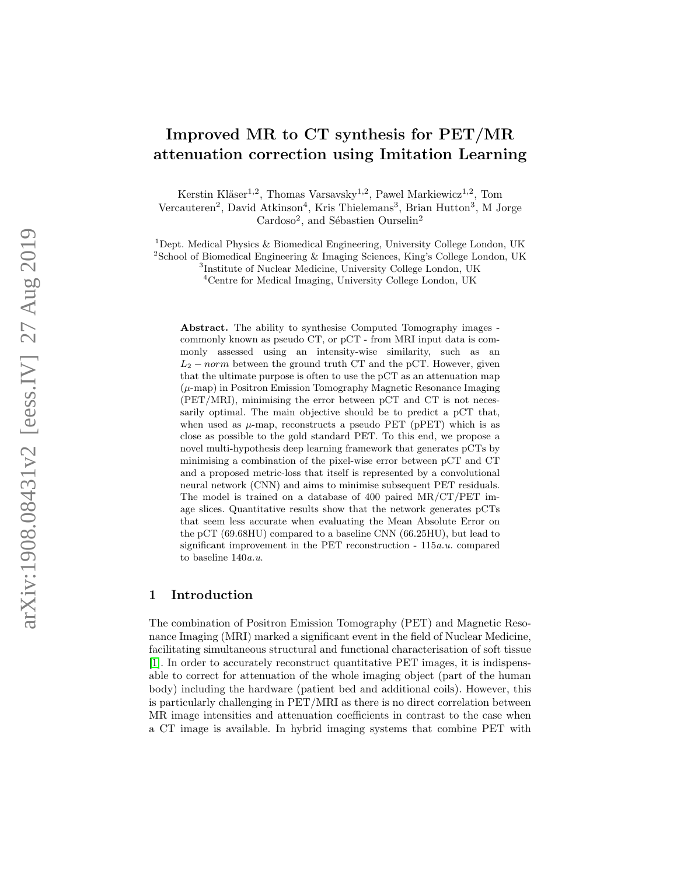# Improved MR to CT synthesis for PET/MR attenuation correction using Imitation Learning

Kerstin Kläser<sup>1,2</sup>, Thomas Varsavsky<sup>1,2</sup>, Pawel Markiewicz<sup>1,2</sup>, Tom Vercauteren<sup>2</sup>, David Atkinson<sup>4</sup>, Kris Thielemans<sup>3</sup>, Brian Hutton<sup>3</sup>, M Jorge Cardoso<sup>2</sup>, and Sébastien Ourselin<sup>2</sup>

<sup>1</sup>Dept. Medical Physics & Biomedical Engineering, University College London, UK <sup>2</sup>School of Biomedical Engineering & Imaging Sciences, King's College London, UK

3 Institute of Nuclear Medicine, University College London, UK

<sup>4</sup>Centre for Medical Imaging, University College London, UK

Abstract. The ability to synthesise Computed Tomography images commonly known as pseudo CT, or pCT - from MRI input data is commonly assessed using an intensity-wise similarity, such as an  $L_2$  – norm between the ground truth CT and the pCT. However, given that the ultimate purpose is often to use the pCT as an attenuation map  $(\mu$ -map) in Positron Emission Tomography Magnetic Resonance Imaging (PET/MRI), minimising the error between pCT and CT is not necessarily optimal. The main objective should be to predict a pCT that, when used as  $\mu$ -map, reconstructs a pseudo PET (pPET) which is as close as possible to the gold standard PET. To this end, we propose a novel multi-hypothesis deep learning framework that generates pCTs by minimising a combination of the pixel-wise error between pCT and CT and a proposed metric-loss that itself is represented by a convolutional neural network (CNN) and aims to minimise subsequent PET residuals. The model is trained on a database of 400 paired MR/CT/PET image slices. Quantitative results show that the network generates pCTs that seem less accurate when evaluating the Mean Absolute Error on the pCT (69.68HU) compared to a baseline CNN (66.25HU), but lead to significant improvement in the PET reconstruction -  $115a.u.$  compared to baseline 140a.u .

# 1 Introduction

The combination of Positron Emission Tomography (PET) and Magnetic Resonance Imaging (MRI) marked a significant event in the field of Nuclear Medicine, facilitating simultaneous structural and functional characterisation of soft tissue [\[1\]](#page-8-0). In order to accurately reconstruct quantitative PET images, it is indispensable to correct for attenuation of the whole imaging object (part of the human body) including the hardware (patient bed and additional coils). However, this is particularly challenging in PET/MRI as there is no direct correlation between MR image intensities and attenuation coefficients in contrast to the case when a CT image is available. In hybrid imaging systems that combine PET with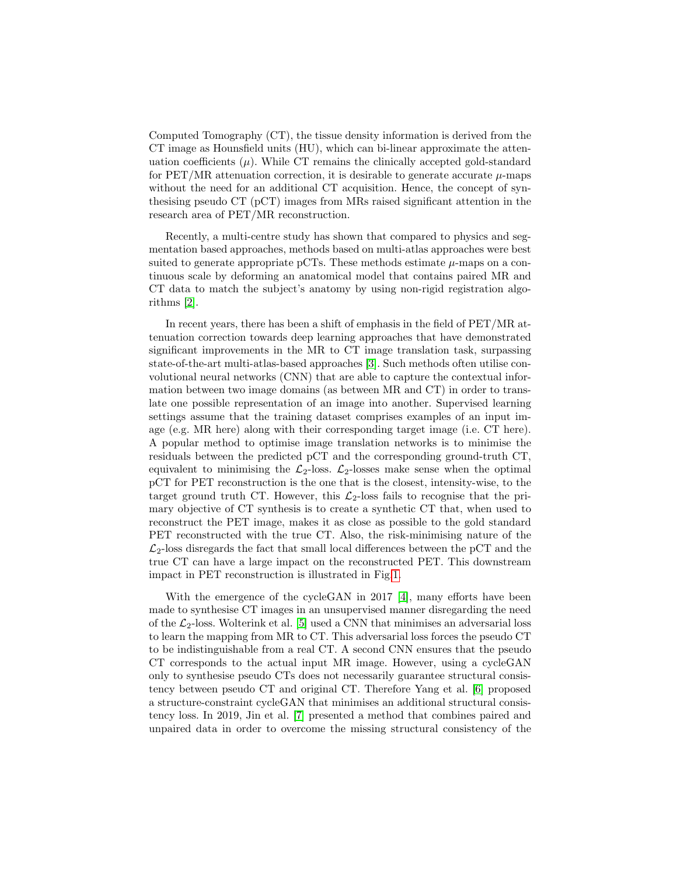Computed Tomography (CT), the tissue density information is derived from the CT image as Hounsfield units (HU), which can bi-linear approximate the attenuation coefficients  $(\mu)$ . While CT remains the clinically accepted gold-standard for PET/MR attenuation correction, it is desirable to generate accurate  $\mu$ -maps without the need for an additional CT acquisition. Hence, the concept of synthesising pseudo CT (pCT) images from MRs raised significant attention in the research area of PET/MR reconstruction.

Recently, a multi-centre study has shown that compared to physics and segmentation based approaches, methods based on multi-atlas approaches were best suited to generate appropriate pCTs. These methods estimate  $\mu$ -maps on a continuous scale by deforming an anatomical model that contains paired MR and CT data to match the subject's anatomy by using non-rigid registration algorithms [\[2\]](#page-8-1).

In recent years, there has been a shift of emphasis in the field of PET/MR attenuation correction towards deep learning approaches that have demonstrated significant improvements in the MR to CT image translation task, surpassing state-of-the-art multi-atlas-based approaches [\[3\]](#page-8-2). Such methods often utilise convolutional neural networks (CNN) that are able to capture the contextual information between two image domains (as between MR and CT) in order to translate one possible representation of an image into another. Supervised learning settings assume that the training dataset comprises examples of an input image (e.g. MR here) along with their corresponding target image (i.e. CT here). A popular method to optimise image translation networks is to minimise the residuals between the predicted pCT and the corresponding ground-truth CT, equivalent to minimising the  $\mathcal{L}_2$ -loss.  $\mathcal{L}_2$ -losses make sense when the optimal pCT for PET reconstruction is the one that is the closest, intensity-wise, to the target ground truth CT. However, this  $\mathcal{L}_2$ -loss fails to recognise that the primary objective of CT synthesis is to create a synthetic CT that, when used to reconstruct the PET image, makes it as close as possible to the gold standard PET reconstructed with the true CT. Also, the risk-minimising nature of the  $\mathcal{L}_2$ -loss disregards the fact that small local differences between the pCT and the true CT can have a large impact on the reconstructed PET. This downstream impact in PET reconstruction is illustrated in Fig[.1.](#page-2-0)

With the emergence of the cycleGAN in 2017 [\[4\]](#page-8-3), many efforts have been made to synthesise CT images in an unsupervised manner disregarding the need of the  $\mathcal{L}_2$ -loss. Wolterink et al. [\[5\]](#page-8-4) used a CNN that minimises an adversarial loss to learn the mapping from MR to CT. This adversarial loss forces the pseudo CT to be indistinguishable from a real CT. A second CNN ensures that the pseudo CT corresponds to the actual input MR image. However, using a cycleGAN only to synthesise pseudo CTs does not necessarily guarantee structural consistency between pseudo CT and original CT. Therefore Yang et al. [\[6\]](#page-8-5) proposed a structure-constraint cycleGAN that minimises an additional structural consistency loss. In 2019, Jin et al. [\[7\]](#page-8-6) presented a method that combines paired and unpaired data in order to overcome the missing structural consistency of the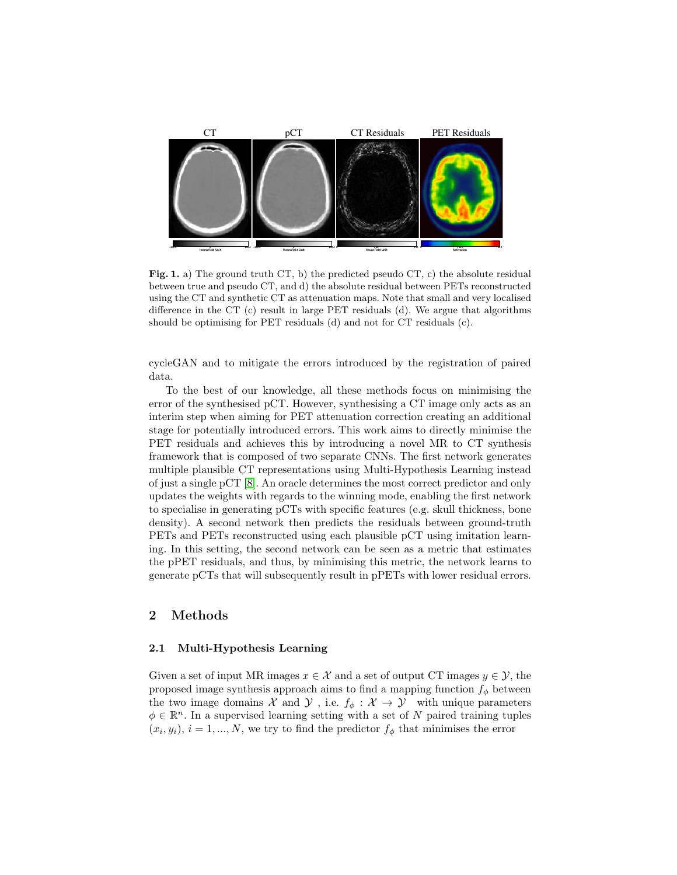

<span id="page-2-0"></span>Fig. 1. a) The ground truth CT, b) the predicted pseudo CT, c) the absolute residual between true and pseudo CT, and d) the absolute residual between PETs reconstructed using the CT and synthetic CT as attenuation maps. Note that small and very localised difference in the CT (c) result in large PET residuals (d). We argue that algorithms should be optimising for PET residuals (d) and not for CT residuals (c).

cycleGAN and to mitigate the errors introduced by the registration of paired data.

To the best of our knowledge, all these methods focus on minimising the error of the synthesised pCT. However, synthesising a CT image only acts as an interim step when aiming for PET attenuation correction creating an additional stage for potentially introduced errors. This work aims to directly minimise the PET residuals and achieves this by introducing a novel MR to CT synthesis framework that is composed of two separate CNNs. The first network generates multiple plausible CT representations using Multi-Hypothesis Learning instead of just a single pCT [\[8\]](#page-8-7). An oracle determines the most correct predictor and only updates the weights with regards to the winning mode, enabling the first network to specialise in generating pCTs with specific features (e.g. skull thickness, bone density). A second network then predicts the residuals between ground-truth PETs and PETs reconstructed using each plausible pCT using imitation learning. In this setting, the second network can be seen as a metric that estimates the pPET residuals, and thus, by minimising this metric, the network learns to generate pCTs that will subsequently result in pPETs with lower residual errors.

## 2 Methods

### 2.1 Multi-Hypothesis Learning

Given a set of input MR images  $x \in \mathcal{X}$  and a set of output CT images  $y \in \mathcal{Y}$ , the proposed image synthesis approach aims to find a mapping function  $f_{\phi}$  between the two image domains  $\mathcal X$  and  $\mathcal Y$ , i.e.  $f_{\phi}: \mathcal X \to \mathcal Y$  with unique parameters  $\phi \in \mathbb{R}^n$ . In a supervised learning setting with a set of N paired training tuples  $(x_i, y_i), i = 1, ..., N$ , we try to find the predictor  $f_\phi$  that minimises the error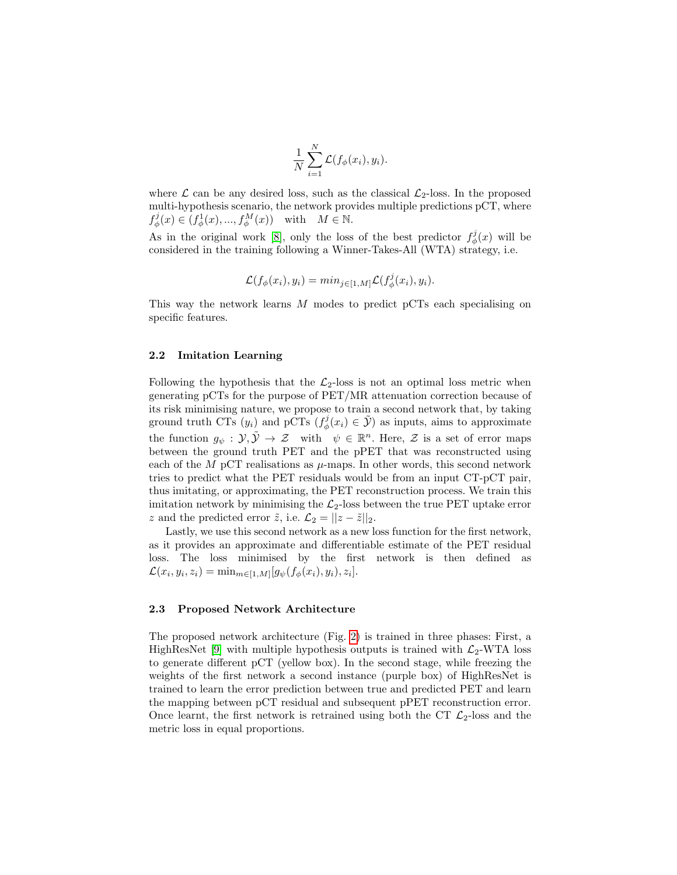$$
\frac{1}{N}\sum_{i=1}^N \mathcal{L}(f_{\phi}(x_i), y_i).
$$

where  $\mathcal L$  can be any desired loss, such as the classical  $\mathcal L_2$ -loss. In the proposed multi-hypothesis scenario, the network provides multiple predictions pCT, where  $f^j_\phi(x) \in (f^1_\phi(x), ..., f^M_\phi(x))$  with  $M \in \mathbb{N}$ .

As in the original work [\[8\]](#page-8-7), only the loss of the best predictor  $f^j_\phi(x)$  will be considered in the training following a Winner-Takes-All (WTA) strategy, i.e.

$$
\mathcal{L}(f_{\phi}(x_i), y_i) = min_{j \in [1,M]} \mathcal{L}(f_{\phi}^j(x_i), y_i).
$$

This way the network learns M modes to predict pCTs each specialising on specific features.

#### 2.2 Imitation Learning

Following the hypothesis that the  $\mathcal{L}_2$ -loss is not an optimal loss metric when generating pCTs for the purpose of PET/MR attenuation correction because of its risk minimising nature, we propose to train a second network that, by taking ground truth CTs  $(y_i)$  and pCTs  $(f^j_\phi(x_i) \in \tilde{\mathcal{Y}})$  as inputs, aims to approximate the function  $g_{\psi} : \mathcal{Y}, \tilde{\mathcal{Y}} \to \mathcal{Z}$  with  $\psi \in \mathbb{R}^n$ . Here,  $\mathcal{Z}$  is a set of error maps between the ground truth PET and the pPET that was reconstructed using each of the  $M$  pCT realisations as  $\mu$ -maps. In other words, this second network tries to predict what the PET residuals would be from an input CT-pCT pair, thus imitating, or approximating, the PET reconstruction process. We train this imitation network by minimising the  $\mathcal{L}_2$ -loss between the true PET uptake error z and the predicted error  $\tilde{z}$ , i.e.  $\mathcal{L}_2 = ||z - \tilde{z}||_2$ .

Lastly, we use this second network as a new loss function for the first network, as it provides an approximate and differentiable estimate of the PET residual loss. The loss minimised by the first network is then defined as  $\mathcal{L}(x_i, y_i, z_i) = \min_{m \in [1,M]} [g_{\psi}(f_{\phi}(x_i), y_i), z_i].$ 

#### 2.3 Proposed Network Architecture

The proposed network architecture (Fig. [2\)](#page-4-0) is trained in three phases: First, a HighResNet [\[9\]](#page-8-8) with multiple hypothesis outputs is trained with  $\mathcal{L}_2$ -WTA loss to generate different pCT (yellow box). In the second stage, while freezing the weights of the first network a second instance (purple box) of HighResNet is trained to learn the error prediction between true and predicted PET and learn the mapping between pCT residual and subsequent pPET reconstruction error. Once learnt, the first network is retrained using both the CT  $\mathcal{L}_2$ -loss and the metric loss in equal proportions.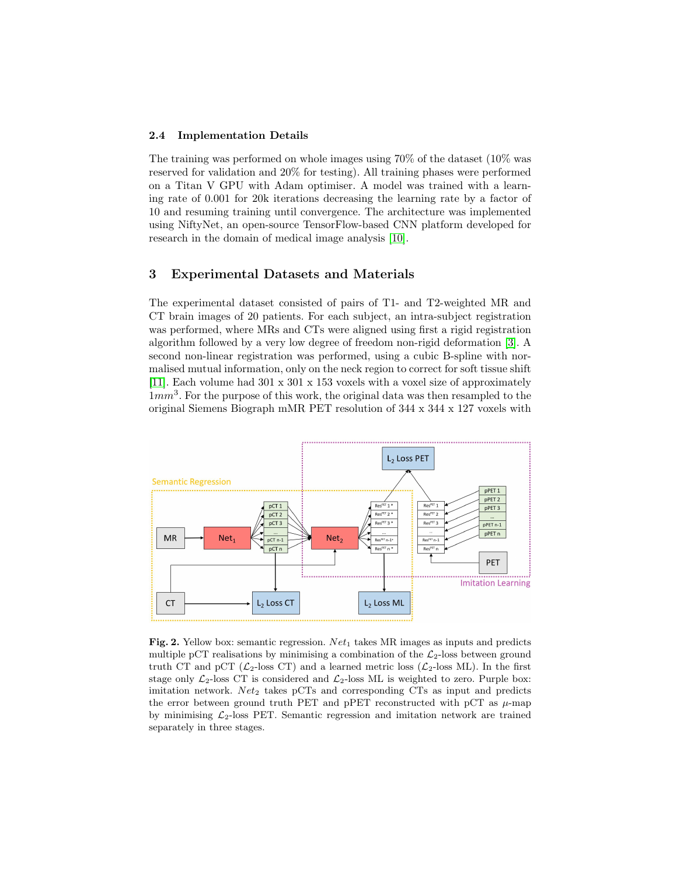#### 2.4 Implementation Details

The training was performed on whole images using 70% of the dataset (10% was reserved for validation and 20% for testing). All training phases were performed on a Titan V GPU with Adam optimiser. A model was trained with a learning rate of 0.001 for 20k iterations decreasing the learning rate by a factor of 10 and resuming training until convergence. The architecture was implemented using NiftyNet, an open-source TensorFlow-based CNN platform developed for research in the domain of medical image analysis [\[10\]](#page-8-9).

## 3 Experimental Datasets and Materials

The experimental dataset consisted of pairs of T1- and T2-weighted MR and CT brain images of 20 patients. For each subject, an intra-subject registration was performed, where MRs and CTs were aligned using first a rigid registration algorithm followed by a very low degree of freedom non-rigid deformation [\[3\]](#page-8-2). A second non-linear registration was performed, using a cubic B-spline with normalised mutual information, only on the neck region to correct for soft tissue shift [\[11\]](#page-8-10). Each volume had 301 x 301 x 153 voxels with a voxel size of approximately  $1mm<sup>3</sup>$ . For the purpose of this work, the original data was then resampled to the original Siemens Biograph mMR PET resolution of 344 x 344 x 127 voxels with



<span id="page-4-0"></span>Fig. 2. Yellow box: semantic regression.  $Net_1$  takes MR images as inputs and predicts multiple pCT realisations by minimising a combination of the  $\mathcal{L}_2$ -loss between ground truth CT and pCT ( $\mathcal{L}_2$ -loss CT) and a learned metric loss ( $\mathcal{L}_2$ -loss ML). In the first stage only  $\mathcal{L}_2$ -loss CT is considered and  $\mathcal{L}_2$ -loss ML is weighted to zero. Purple box: imitation network.  $Net_2$  takes pCTs and corresponding CTs as input and predicts the error between ground truth PET and pPET reconstructed with pCT as  $\mu$ -map by minimising  $\mathcal{L}_2$ -loss PET. Semantic regression and imitation network are trained separately in three stages.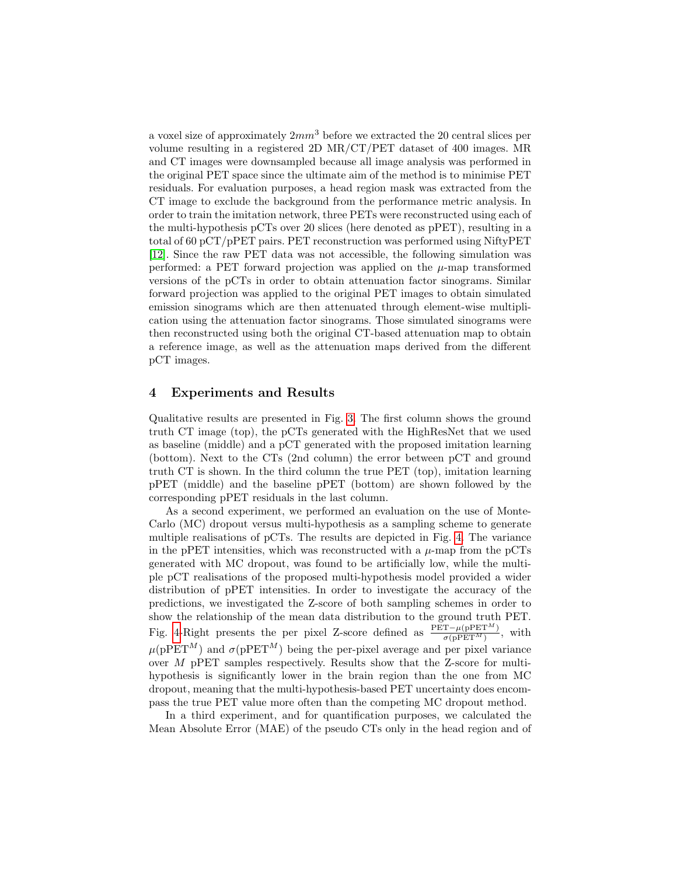a voxel size of approximately  $2mm^3$  before we extracted the 20 central slices per volume resulting in a registered 2D MR/CT/PET dataset of 400 images. MR and CT images were downsampled because all image analysis was performed in the original PET space since the ultimate aim of the method is to minimise PET residuals. For evaluation purposes, a head region mask was extracted from the CT image to exclude the background from the performance metric analysis. In order to train the imitation network, three PETs were reconstructed using each of the multi-hypothesis pCTs over 20 slices (here denoted as pPET), resulting in a total of 60 pCT/pPET pairs. PET reconstruction was performed using NiftyPET [\[12\]](#page-8-11). Since the raw PET data was not accessible, the following simulation was performed: a PET forward projection was applied on the  $\mu$ -map transformed versions of the pCTs in order to obtain attenuation factor sinograms. Similar forward projection was applied to the original PET images to obtain simulated emission sinograms which are then attenuated through element-wise multiplication using the attenuation factor sinograms. Those simulated sinograms were then reconstructed using both the original CT-based attenuation map to obtain a reference image, as well as the attenuation maps derived from the different pCT images.

## 4 Experiments and Results

Qualitative results are presented in Fig. [3.](#page-6-0) The first column shows the ground truth CT image (top), the pCTs generated with the HighResNet that we used as baseline (middle) and a pCT generated with the proposed imitation learning (bottom). Next to the CTs (2nd column) the error between pCT and ground truth CT is shown. In the third column the true PET (top), imitation learning pPET (middle) and the baseline pPET (bottom) are shown followed by the corresponding pPET residuals in the last column.

As a second experiment, we performed an evaluation on the use of Monte-Carlo (MC) dropout versus multi-hypothesis as a sampling scheme to generate multiple realisations of pCTs. The results are depicted in Fig. [4.](#page-7-0) The variance in the pPET intensities, which was reconstructed with a  $\mu$ -map from the pCTs generated with MC dropout, was found to be artificially low, while the multiple pCT realisations of the proposed multi-hypothesis model provided a wider distribution of pPET intensities. In order to investigate the accuracy of the predictions, we investigated the Z-score of both sampling schemes in order to show the relationship of the mean data distribution to the ground truth PET. Fig. [4-](#page-7-0)Right presents the per pixel Z-score defined as  $\frac{\text{PET}-\mu(pPET^M)}{\sigma(pPET^M)}$ , with  $\mu(pPET^M)$  and  $\sigma(pPET^M)$  being the per-pixel average and per pixel variance over M pPET samples respectively. Results show that the Z-score for multihypothesis is significantly lower in the brain region than the one from MC dropout, meaning that the multi-hypothesis-based PET uncertainty does encompass the true PET value more often than the competing MC dropout method.

In a third experiment, and for quantification purposes, we calculated the Mean Absolute Error (MAE) of the pseudo CTs only in the head region and of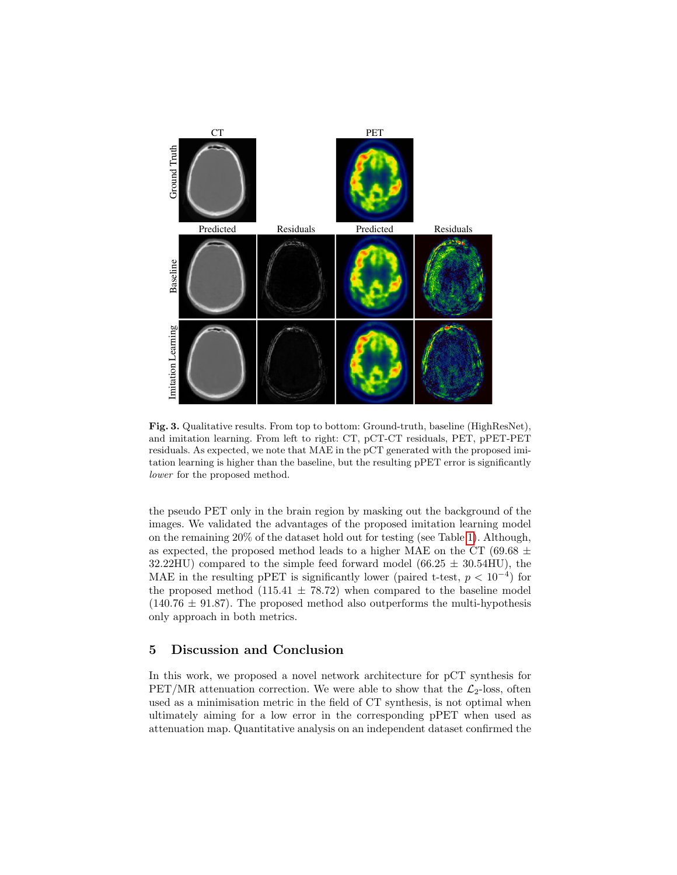

<span id="page-6-0"></span>Fig. 3. Qualitative results. From top to bottom: Ground-truth, baseline (HighResNet), and imitation learning. From left to right: CT, pCT-CT residuals, PET, pPET-PET residuals. As expected, we note that MAE in the pCT generated with the proposed imitation learning is higher than the baseline, but the resulting pPET error is significantly lower for the proposed method.

the pseudo PET only in the brain region by masking out the background of the images. We validated the advantages of the proposed imitation learning model on the remaining 20% of the dataset hold out for testing (see Table [1\)](#page-7-1). Although, as expected, the proposed method leads to a higher MAE on the CT (69.68  $\pm$ 32.22HU) compared to the simple feed forward model (66.25  $\pm$  30.54HU), the MAE in the resulting pPET is significantly lower (paired t-test,  $p < 10^{-4}$ ) for the proposed method (115.41  $\pm$  78.72) when compared to the baseline model  $(140.76 \pm 91.87)$ . The proposed method also outperforms the multi-hypothesis only approach in both metrics.

# 5 Discussion and Conclusion

In this work, we proposed a novel network architecture for pCT synthesis for PET/MR attenuation correction. We were able to show that the  $\mathcal{L}_2$ -loss, often used as a minimisation metric in the field of CT synthesis, is not optimal when ultimately aiming for a low error in the corresponding pPET when used as attenuation map. Quantitative analysis on an independent dataset confirmed the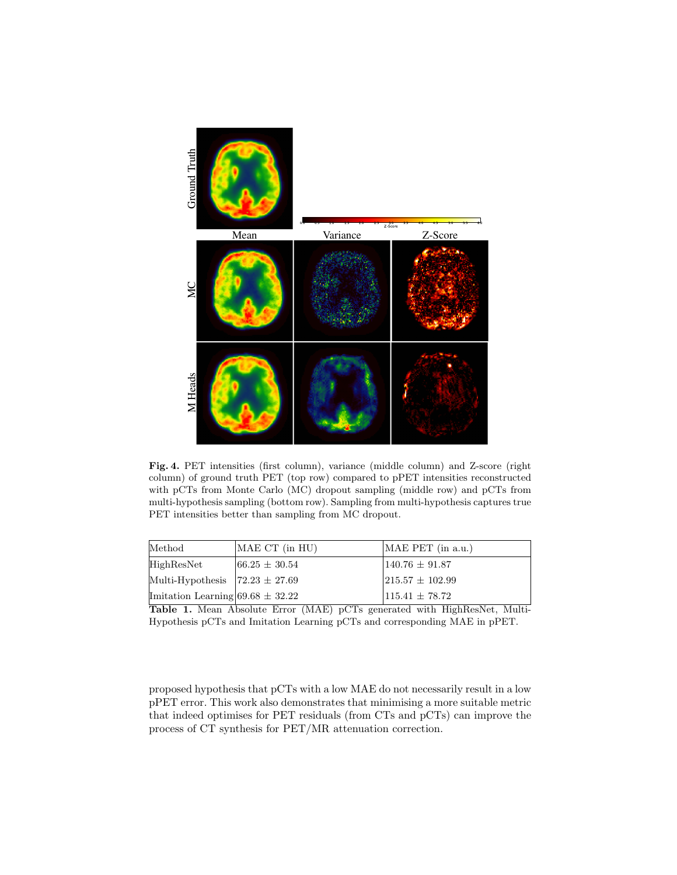

<span id="page-7-0"></span>Fig. 4. PET intensities (first column), variance (middle column) and Z-score (right column) of ground truth PET (top row) compared to pPET intensities reconstructed with pCTs from Monte Carlo (MC) dropout sampling (middle row) and pCTs from multi-hypothesis sampling (bottom row). Sampling from multi-hypothesis captures true PET intensities better than sampling from MC dropout.

| Method                               | MAE CT (in HU)    | $MAE$ PET $(in a.u.)$ |
|--------------------------------------|-------------------|-----------------------|
| HighResNet                           | $66.25 \pm 30.54$ | $140.76 \pm 91.87$    |
| Multi-Hypothesis $ 72.23 \pm 27.69$  |                   | $ 215.57 \pm 102.99$  |
| Imitation Learning 69.68 $\pm$ 32.22 |                   | $115.41 \pm 78.72$    |

<span id="page-7-1"></span>Table 1. Mean Absolute Error (MAE) pCTs generated with HighResNet, Multi-Hypothesis pCTs and Imitation Learning pCTs and corresponding MAE in pPET.

proposed hypothesis that pCTs with a low MAE do not necessarily result in a low pPET error. This work also demonstrates that minimising a more suitable metric that indeed optimises for PET residuals (from CTs and pCTs) can improve the process of CT synthesis for PET/MR attenuation correction.